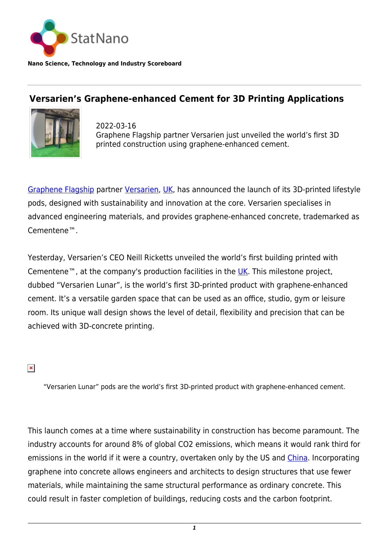

**Nano Science, Technology and Industry Scoreboard**

## **Versarien's Graphene-enhanced Cement for 3D Printing Applications**



2022-03-16 Graphene Flagship partner Versarien just unveiled the world's first 3D printed construction using graphene-enhanced cement.

[Graphene Flagship](https://graphene-flagship.eu/) partner [Versarien,](https://www.versarien.com/) [UK,](http://statnano.com/country/UK) has announced the launch of its 3D-printed lifestyle pods, designed with sustainability and innovation at the core. Versarien specialises in advanced engineering materials, and provides graphene-enhanced concrete, trademarked as Cementene™.

Yesterday, Versarien's CEO Neill Ricketts unveiled the world's first building printed with Cementene<sup>™</sup>, at the company's production facilities in the  $UK$ . This milestone project, dubbed "Versarien Lunar", is the world's first 3D-printed product with graphene-enhanced cement. It's a versatile garden space that can be used as an office, studio, gym or leisure room. Its unique wall design shows the level of detail, flexibility and precision that can be achieved with 3D-concrete printing.

 $\pmb{\times}$ 

"Versarien Lunar" pods are the world's first 3D-printed product with graphene-enhanced cement.

This launch comes at a time where sustainability in construction has become paramount. The industry accounts for around 8% of global CO2 emissions, which means it would rank third for emissions in the world if it were a country, overtaken only by the US and [China](http://statnano.com/country/China). Incorporating graphene into concrete allows engineers and architects to design structures that use fewer materials, while maintaining the same structural performance as ordinary concrete. This could result in faster completion of buildings, reducing costs and the carbon footprint.